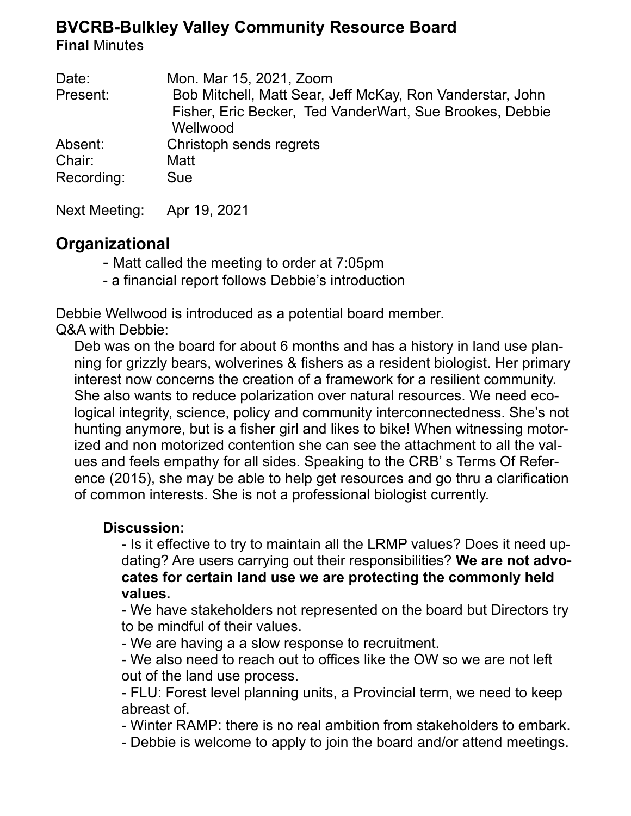# **BVCRB-Bulkley Valley Community Resource Board**

**Final** Minutes

| Date:      | Mon. Mar 15, 2021, Zoom                                                                                                           |
|------------|-----------------------------------------------------------------------------------------------------------------------------------|
| Present:   | Bob Mitchell, Matt Sear, Jeff McKay, Ron Vanderstar, John<br>Fisher, Eric Becker, Ted VanderWart, Sue Brookes, Debbie<br>Wellwood |
| Absent:    | Christoph sends regrets                                                                                                           |
| Chair:     | Matt                                                                                                                              |
| Recording: | <b>Sue</b>                                                                                                                        |

Next Meeting: Apr 19, 2021

# **Organizational**

- Matt called the meeting to order at 7:05pm
- a financial report follows Debbie's introduction

Debbie Wellwood is introduced as a potential board member. Q&A with Debbie:

Deb was on the board for about 6 months and has a history in land use planning for grizzly bears, wolverines & fishers as a resident biologist. Her primary interest now concerns the creation of a framework for a resilient community. She also wants to reduce polarization over natural resources. We need ecological integrity, science, policy and community interconnectedness. She's not hunting anymore, but is a fisher girl and likes to bike! When witnessing motorized and non motorized contention she can see the attachment to all the values and feels empathy for all sides. Speaking to the CRB' s Terms Of Reference (2015), she may be able to help get resources and go thru a clarification of common interests. She is not a professional biologist currently.

## **Discussion:**

**-** Is it effective to try to maintain all the LRMP values? Does it need updating? Are users carrying out their responsibilities? **We are not advocates for certain land use we are protecting the commonly held values.**

- We have stakeholders not represented on the board but Directors try to be mindful of their values.

- We are having a a slow response to recruitment.

- We also need to reach out to offices like the OW so we are not left out of the land use process.

- FLU: Forest level planning units, a Provincial term, we need to keep abreast of.

- Winter RAMP: there is no real ambition from stakeholders to embark.

- Debbie is welcome to apply to join the board and/or attend meetings.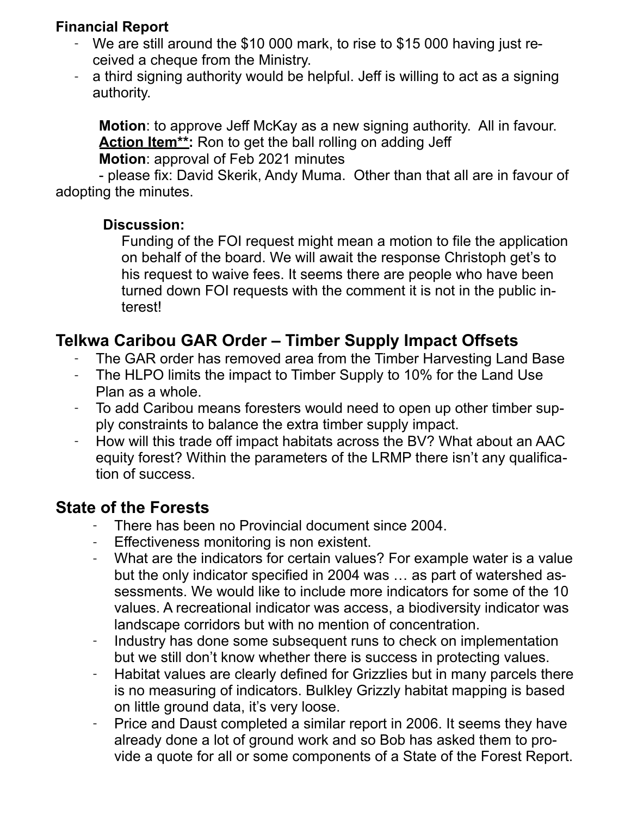## **Financial Report**

- We are still around the \$10 000 mark, to rise to \$15 000 having just received a cheque from the Ministry.
- a third signing authority would be helpful. Jeff is willing to act as a signing authority.

**Motion**: to approve Jeff McKay as a new signing authority. All in favour. Action Item<sup>\*\*</sup>: Ron to get the ball rolling on adding Jeff **Motion**: approval of Feb 2021 minutes

- please fix: David Skerik, Andy Muma. Other than that all are in favour of adopting the minutes.

#### **Discussion:**

Funding of the FOI request might mean a motion to file the application on behalf of the board. We will await the response Christoph get's to his request to waive fees. It seems there are people who have been turned down FOI requests with the comment it is not in the public interest!

## **Telkwa Caribou GAR Order – Timber Supply Impact Offsets**

- The GAR order has removed area from the Timber Harvesting Land Base
- The HLPO limits the impact to Timber Supply to 10% for the Land Use Plan as a whole.
- To add Caribou means foresters would need to open up other timber supply constraints to balance the extra timber supply impact.
- How will this trade off impact habitats across the BV? What about an AAC equity forest? Within the parameters of the LRMP there isn't any qualification of success.

## **State of the Forests**

- There has been no Provincial document since 2004.
- Effectiveness monitoring is non existent.
- What are the indicators for certain values? For example water is a value but the only indicator specified in 2004 was … as part of watershed assessments. We would like to include more indicators for some of the 10 values. A recreational indicator was access, a biodiversity indicator was landscape corridors but with no mention of concentration.
- Industry has done some subsequent runs to check on implementation but we still don't know whether there is success in protecting values.
- Habitat values are clearly defined for Grizzlies but in many parcels there is no measuring of indicators. Bulkley Grizzly habitat mapping is based on little ground data, it's very loose.
- Price and Daust completed a similar report in 2006. It seems they have already done a lot of ground work and so Bob has asked them to provide a quote for all or some components of a State of the Forest Report.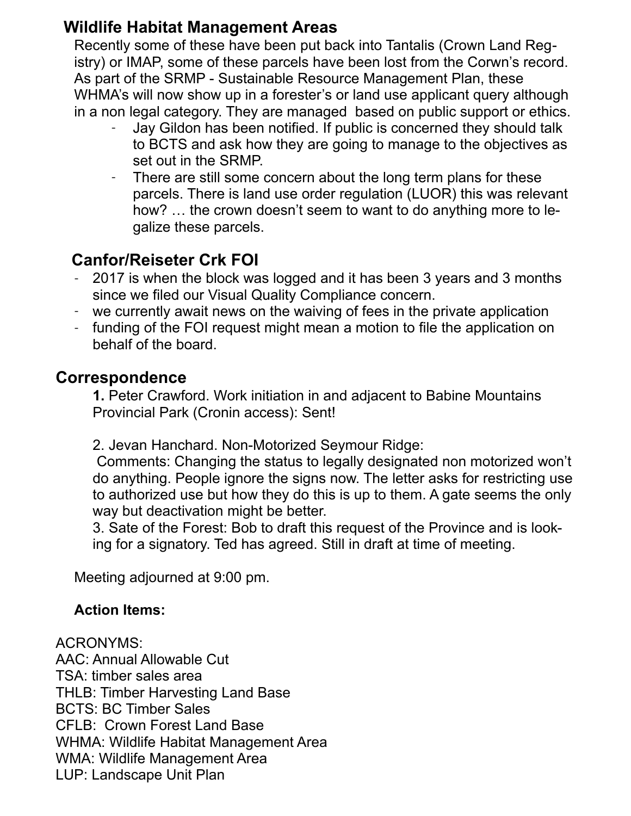# **Wildlife Habitat Management Areas**

Recently some of these have been put back into Tantalis (Crown Land Registry) or IMAP, some of these parcels have been lost from the Corwn's record. As part of the SRMP - Sustainable Resource Management Plan, these WHMA's will now show up in a forester's or land use applicant query although in a non legal category. They are managed based on public support or ethics.

- Jay Gildon has been notified. If public is concerned they should talk to BCTS and ask how they are going to manage to the objectives as set out in the SRMP.
- There are still some concern about the long term plans for these parcels. There is land use order regulation (LUOR) this was relevant how? … the crown doesn't seem to want to do anything more to legalize these parcels.

# **Canfor/Reiseter Crk FOI**

- 2017 is when the block was logged and it has been 3 years and 3 months since we filed our Visual Quality Compliance concern.
- we currently await news on the waiving of fees in the private application
- funding of the FOI request might mean a motion to file the application on behalf of the board.

## **Correspondence**

**1.** Peter Crawford. Work initiation in and adjacent to Babine Mountains Provincial Park (Cronin access): Sent!

2. Jevan Hanchard. Non-Motorized Seymour Ridge:

 Comments: Changing the status to legally designated non motorized won't do anything. People ignore the signs now. The letter asks for restricting use to authorized use but how they do this is up to them. A gate seems the only way but deactivation might be better.

3. Sate of the Forest: Bob to draft this request of the Province and is looking for a signatory. Ted has agreed. Still in draft at time of meeting.

Meeting adjourned at 9:00 pm.

## **Action Items:**

ACRONYMS: AAC: Annual Allowable Cut TSA: timber sales area THLB: Timber Harvesting Land Base BCTS: BC Timber Sales CFLB: Crown Forest Land Base WHMA: Wildlife Habitat Management Area WMA: Wildlife Management Area LUP: Landscape Unit Plan